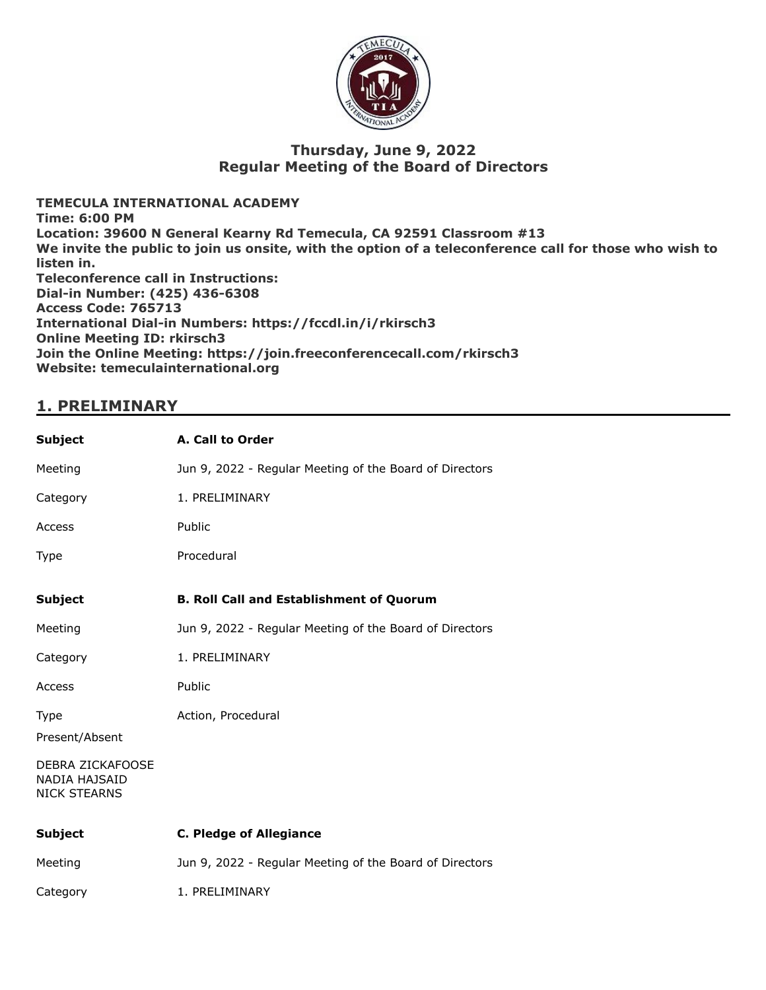

### **Thursday, June 9, 2022 Regular Meeting of the Board of Directors**

**TEMECULA INTERNATIONAL ACADEMY Time: 6:00 PM Location: 39600 N General Kearny Rd Temecula, CA 92591 Classroom #13 We invite the public to join us onsite, with the option of a teleconference call for those who wish to listen in. Teleconference call in Instructions: Dial-in Number: (425) 436-6308 Access Code: 765713 International Dial-in Numbers: https://fccdl.in/i/rkirsch3 Online Meeting ID: rkirsch3 Join the Online Meeting: https://join.freeconferencecall.com/rkirsch3 Website: temeculainternational.org**

### **1. PRELIMINARY**

| A. Call to Order                                        |
|---------------------------------------------------------|
| Jun 9, 2022 - Regular Meeting of the Board of Directors |
| 1. PRELIMINARY                                          |
| Public                                                  |
| Procedural                                              |
| <b>B. Roll Call and Establishment of Quorum</b>         |
| Jun 9, 2022 - Regular Meeting of the Board of Directors |
| 1. PRELIMINARY                                          |
| Public                                                  |
| Action, Procedural                                      |
|                                                         |
|                                                         |
| <b>C. Pledge of Allegiance</b>                          |
| Jun 9, 2022 - Regular Meeting of the Board of Directors |
| 1. PRELIMINARY                                          |
|                                                         |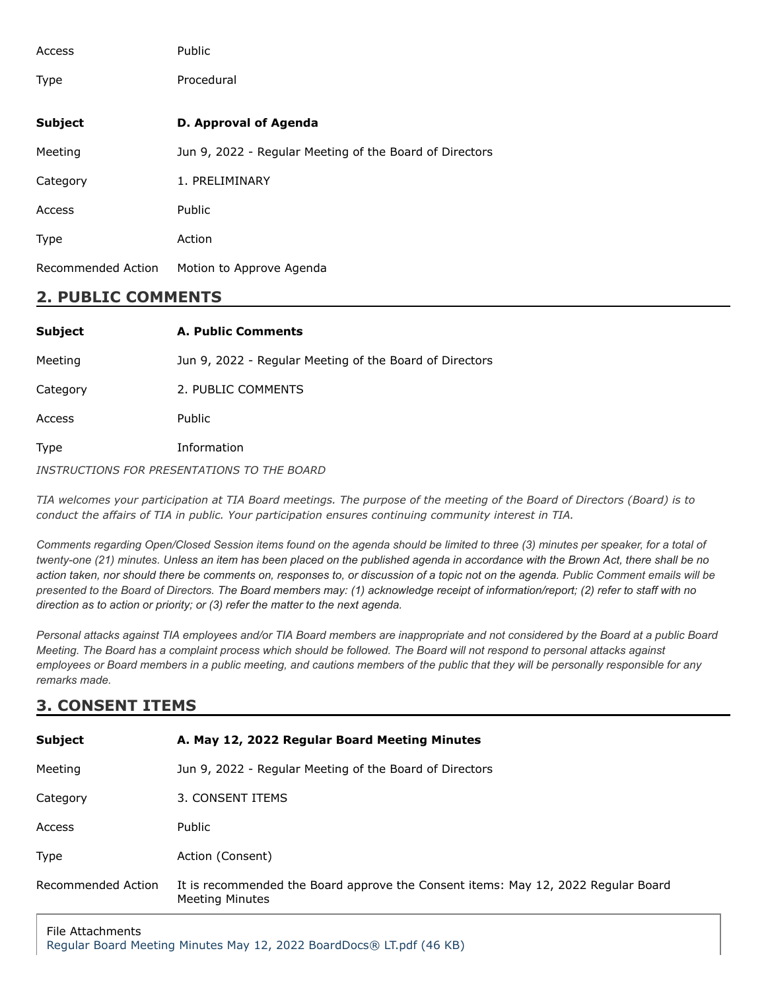| Access             | Public                                                  |
|--------------------|---------------------------------------------------------|
| <b>Type</b>        | Procedural                                              |
| <b>Subject</b>     | <b>D. Approval of Agenda</b>                            |
| Meeting            | Jun 9, 2022 - Regular Meeting of the Board of Directors |
| Category           | 1. PRELIMINARY                                          |
| Access             | <b>Public</b>                                           |
| <b>Type</b>        | Action                                                  |
| Recommended Action | Motion to Approve Agenda                                |

## **2. PUBLIC COMMENTS**

| <b>Subject</b> | <b>A. Public Comments</b>                               |
|----------------|---------------------------------------------------------|
| Meeting        | Jun 9, 2022 - Regular Meeting of the Board of Directors |
| Category       | 2. PUBLIC COMMENTS                                      |
| Access         | <b>Public</b>                                           |
| Type           | Information                                             |
|                |                                                         |

*INSTRUCTIONS FOR PRESENTATIONS TO THE BOARD*

TIA welcomes your participation at TIA Board meetings. The purpose of the meeting of the Board of Directors (Board) is to *conduct the affairs of TIA in public. Your participation ensures continuing community interest in TIA.*

*Comments regarding Open/Closed Session items found on the agenda should be limited to three (3) minutes per speaker, for a total of twenty-one (21) minutes. Unless an item has been placed on the published agenda in accordance with the Brown Act, there shall be no action taken, nor should there be comments on, responses to, or discussion of a topic not on the agenda. Public Comment emails will be presented to the Board of Directors. The Board members may: (1) acknowledge receipt of information/report; (2) refer to staff with no direction as to action or priority; or (3) refer the matter to the next agenda.*

*Personal attacks against TIA employees and/or TIA Board members are inappropriate and not considered by the Board at a public Board Meeting. The Board has a complaint process which should be followed. The Board will not respond to personal attacks against employees or Board members in a public meeting, and cautions members of the public that they will be personally responsible for any remarks made.*

# **3. CONSENT ITEMS**

| <b>Subject</b>     | A. May 12, 2022 Regular Board Meeting Minutes                                                               |
|--------------------|-------------------------------------------------------------------------------------------------------------|
| Meeting            | Jun 9, 2022 - Regular Meeting of the Board of Directors                                                     |
| Category           | 3. CONSENT ITEMS                                                                                            |
| Access             | Public                                                                                                      |
| Type               | Action (Consent)                                                                                            |
| Recommended Action | It is recommended the Board approve the Consent items: May 12, 2022 Regular Board<br><b>Meeting Minutes</b> |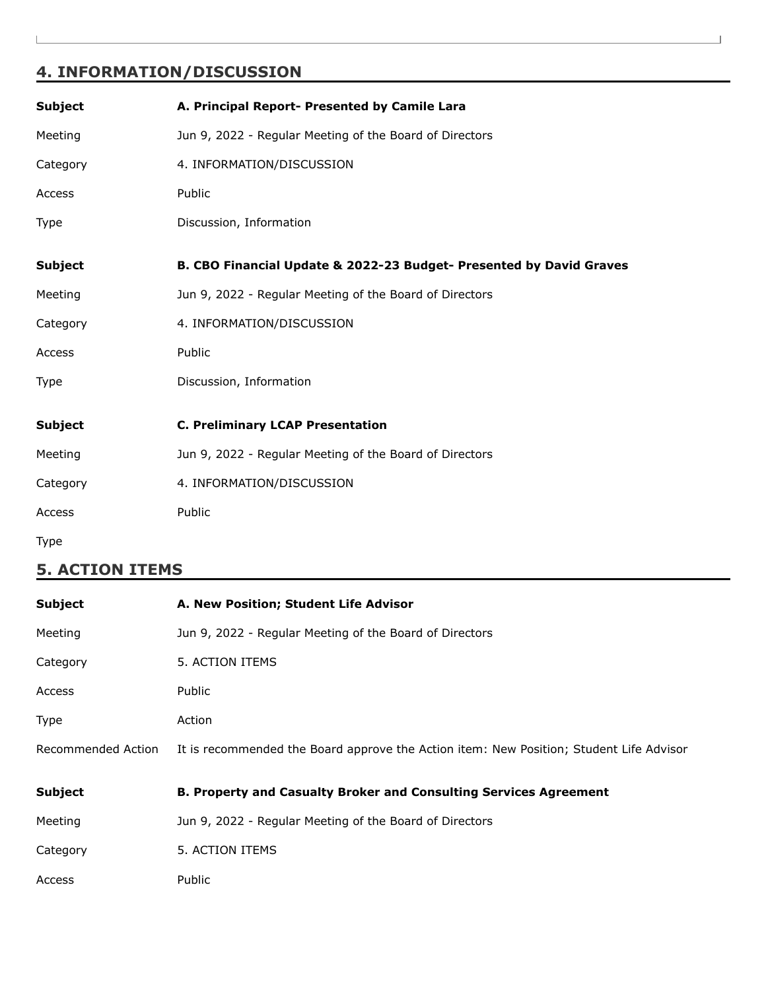# **4. INFORMATION/DISCUSSION**

| <b>Subject</b> | A. Principal Report- Presented by Camile Lara                       |
|----------------|---------------------------------------------------------------------|
| Meeting        | Jun 9, 2022 - Regular Meeting of the Board of Directors             |
| Category       | 4. INFORMATION/DISCUSSION                                           |
| Access         | Public                                                              |
| Type           | Discussion, Information                                             |
| <b>Subject</b> | B. CBO Financial Update & 2022-23 Budget- Presented by David Graves |
| Meeting        | Jun 9, 2022 - Regular Meeting of the Board of Directors             |
| Category       | 4. INFORMATION/DISCUSSION                                           |
| Access         | Public                                                              |
| Type           | Discussion, Information                                             |
| <b>Subject</b> | <b>C. Preliminary LCAP Presentation</b>                             |
| Meeting        | Jun 9, 2022 - Regular Meeting of the Board of Directors             |
| Category       | 4. INFORMATION/DISCUSSION                                           |
| Access         | Public                                                              |
| <b>Type</b>    |                                                                     |

## **5. ACTION ITEMS**

| <b>Subject</b>     | A. New Position; Student Life Advisor                                                   |
|--------------------|-----------------------------------------------------------------------------------------|
| Meeting            | Jun 9, 2022 - Regular Meeting of the Board of Directors                                 |
| Category           | 5. ACTION ITEMS                                                                         |
| Access             | Public                                                                                  |
| <b>Type</b>        | Action                                                                                  |
| Recommended Action | It is recommended the Board approve the Action item: New Position; Student Life Advisor |
| <b>Subject</b>     | <b>B. Property and Casualty Broker and Consulting Services Agreement</b>                |
| Meeting            | Jun 9, 2022 - Regular Meeting of the Board of Directors                                 |
| Category           | 5. ACTION ITEMS                                                                         |
| Access             | Public                                                                                  |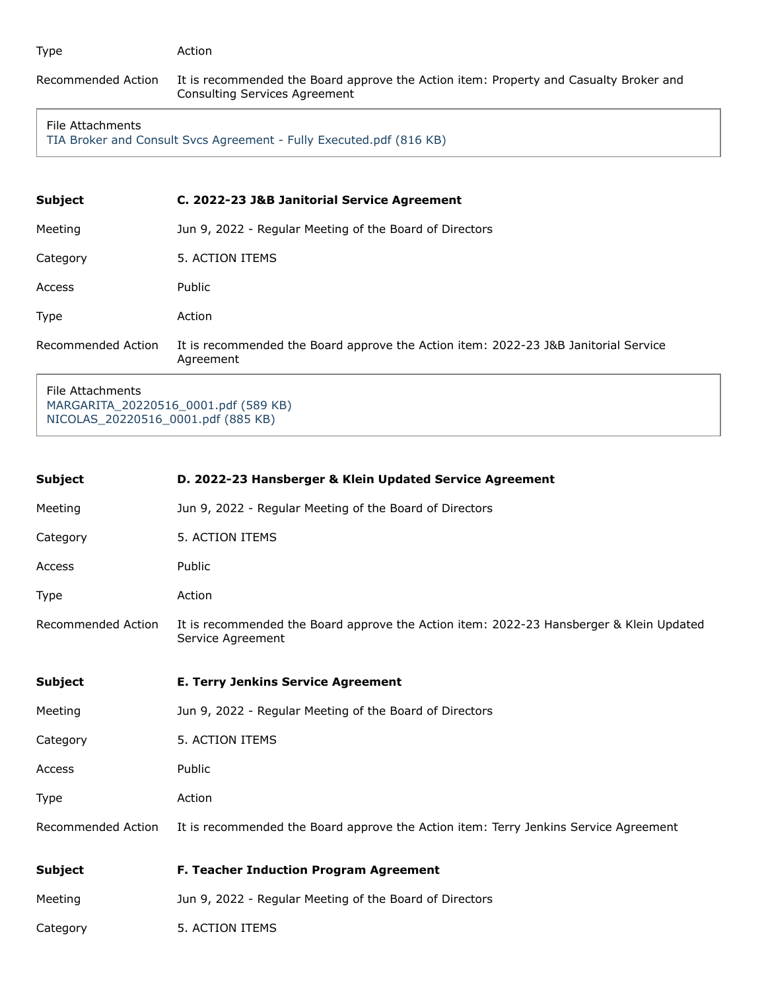| Type               | Action                                                                                                                 |
|--------------------|------------------------------------------------------------------------------------------------------------------------|
| Recommended Action | It is recommended the Board approve the Action item: Property and Casualty Broker and<br>Consulting Services Agreement |

#### File Attachments

[TIA Broker and Consult Svcs Agreement - Fully Executed.pdf \(816 KB\)](https://go.boarddocs.com/ca/tia/Board.nsf/files/CF5UZW7E8A7C/$file/TIA%20Broker%20and%20Consult%20Svcs%20Agreement%20-%20Fully%20Executed.pdf)

| <b>Subject</b>     | C. 2022-23 J&B Janitorial Service Agreement                                                      |
|--------------------|--------------------------------------------------------------------------------------------------|
| Meeting            | Jun 9, 2022 - Regular Meeting of the Board of Directors                                          |
| Category           | 5. ACTION ITEMS                                                                                  |
| Access             | Public                                                                                           |
| <b>Type</b>        | Action                                                                                           |
| Recommended Action | It is recommended the Board approve the Action item: 2022-23 J&B Janitorial Service<br>Agreement |
| Eilo Attachmontc   |                                                                                                  |

File Attachments [MARGARITA\\_20220516\\_0001.pdf \(589 KB\)](https://go.boarddocs.com/ca/tia/Board.nsf/files/CF5V2J7EA204/$file/MARGARITA_20220516_0001.pdf) [NICOLAS\\_20220516\\_0001.pdf \(885 KB\)](https://go.boarddocs.com/ca/tia/Board.nsf/files/CF5V2L7EA27F/$file/NICOLAS_20220516_0001.pdf)

| <b>Subject</b>     | D. 2022-23 Hansberger & Klein Updated Service Agreement                                                      |
|--------------------|--------------------------------------------------------------------------------------------------------------|
| Meeting            | Jun 9, 2022 - Regular Meeting of the Board of Directors                                                      |
| Category           | 5. ACTION ITEMS                                                                                              |
| Access             | Public                                                                                                       |
| Type               | Action                                                                                                       |
| Recommended Action | It is recommended the Board approve the Action item: 2022-23 Hansberger & Klein Updated<br>Service Agreement |
| <b>Subject</b>     | <b>E. Terry Jenkins Service Agreement</b>                                                                    |
| Meeting            | Jun 9, 2022 - Regular Meeting of the Board of Directors                                                      |
| Category           | 5. ACTION ITEMS                                                                                              |
| Access             | Public                                                                                                       |
| <b>Type</b>        | Action                                                                                                       |
| Recommended Action | It is recommended the Board approve the Action item: Terry Jenkins Service Agreement                         |
| <b>Subject</b>     | F. Teacher Induction Program Agreement                                                                       |
| Meeting            | Jun 9, 2022 - Regular Meeting of the Board of Directors                                                      |
| Category           | 5. ACTION ITEMS                                                                                              |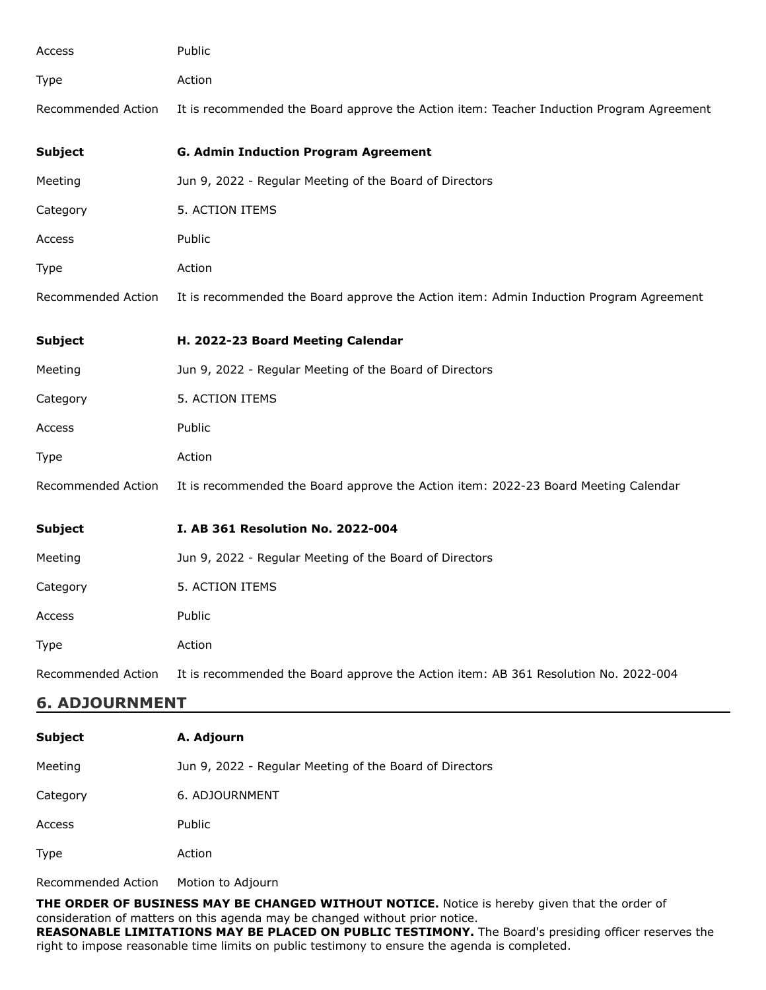| Action<br><b>Type</b> |                                                                                          |  |
|-----------------------|------------------------------------------------------------------------------------------|--|
| Recommended Action    | It is recommended the Board approve the Action item: Teacher Induction Program Agreement |  |
| <b>Subject</b>        | <b>G. Admin Induction Program Agreement</b>                                              |  |
| Meeting               | Jun 9, 2022 - Regular Meeting of the Board of Directors                                  |  |
| Category              | 5. ACTION ITEMS                                                                          |  |
| Public<br>Access      |                                                                                          |  |
| Action<br><b>Type</b> |                                                                                          |  |
| Recommended Action    | It is recommended the Board approve the Action item: Admin Induction Program Agreement   |  |
| <b>Subject</b>        | H. 2022-23 Board Meeting Calendar                                                        |  |
| Meeting               | Jun 9, 2022 - Regular Meeting of the Board of Directors                                  |  |
| Category              | 5. ACTION ITEMS                                                                          |  |
| Public<br>Access      |                                                                                          |  |
| Type<br>Action        |                                                                                          |  |
| Recommended Action    | It is recommended the Board approve the Action item: 2022-23 Board Meeting Calendar      |  |
| <b>Subject</b>        | I. AB 361 Resolution No. 2022-004                                                        |  |
| Meeting               | Jun 9, 2022 - Regular Meeting of the Board of Directors                                  |  |
| Category              | 5. ACTION ITEMS                                                                          |  |
| Public<br>Access      |                                                                                          |  |
| Action<br>Type        |                                                                                          |  |
| Recommended Action    | It is recommended the Board approve the Action item: AB 361 Resolution No. 2022-004      |  |
| <b>6. ADJOURNMENT</b> |                                                                                          |  |

| <b>Subject</b>     | A. Adjourn                                              |
|--------------------|---------------------------------------------------------|
| Meeting            | Jun 9, 2022 - Regular Meeting of the Board of Directors |
| Category           | 6. ADJOURNMENT                                          |
| Access             | <b>Public</b>                                           |
| <b>Type</b>        | Action                                                  |
| Recommended Action | Motion to Adjourn                                       |

**THE ORDER OF BUSINESS MAY BE CHANGED WITHOUT NOTICE.** Notice is hereby given that the order of consideration of matters on this agenda may be changed without prior notice. **REASONABLE LIMITATIONS MAY BE PLACED ON PUBLIC TESTIMONY.** The Board's presiding officer reserves the right to impose reasonable time limits on public testimony to ensure the agenda is completed.